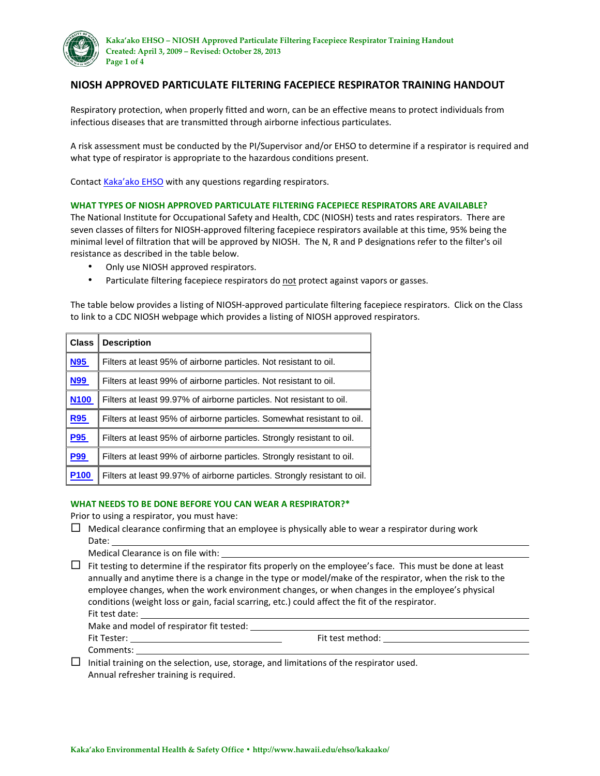

## **NIOSH APPROVED PARTICULATE FILTERING FACEPIECE RESPIRATOR TRAINING HANDOUT**

Respiratory protection, when properly fitted and worn, can be an effective means to protect individuals from infectious diseases that are transmitted through airborne infectious particulates.

A risk assessment must be conducted by the PI/Supervisor and/or EHSO to determine if a respirator is required and what type of respirator is appropriate to the hazardous conditions present.

Contact [Kaka'ako EHSO](mailto:kakaako-ehso@lists.hawaii.edu) with any questions regarding respirators.

#### **WHAT TYPES OF NIOSH APPROVED PARTICULATE FILTERING FACEPIECE RESPIRATORS ARE AVAILABLE?**

The National Institute for Occupational Safety and Health, CDC (NIOSH) tests and rates respirators. There are seven classes of filters for NIOSH-approved filtering facepiece respirators available at this time, 95% being the minimal level of filtration that will be approved by NIOSH. The N, R and P designations refer to the filter's oil resistance as described in the table below.

- Only use NIOSH approved respirators.
- Particulate filtering facepiece respirators do not protect against vapors or gasses.

The table below provides a listing of NIOSH-approved particulate filtering facepiece respirators. Click on the Class to link to a CDC NIOSH webpage which provides a listing of NIOSH approved respirators.

| <b>Class</b> | <b>Description</b>                                                        |
|--------------|---------------------------------------------------------------------------|
| <b>N95</b>   | Filters at least 95% of airborne particles. Not resistant to oil.         |
| <b>N99</b>   | Filters at least 99% of airborne particles. Not resistant to oil.         |
| <b>N100</b>  | Filters at least 99.97% of airborne particles. Not resistant to oil.      |
| <b>R95</b>   | Filters at least 95% of airborne particles. Somewhat resistant to oil.    |
| <b>P95</b>   | Filters at least 95% of airborne particles. Strongly resistant to oil.    |
| <b>P99</b>   | Filters at least 99% of airborne particles. Strongly resistant to oil.    |
| <b>P100</b>  | Filters at least 99.97% of airborne particles. Strongly resistant to oil. |

#### **WHAT NEEDS TO BE DONE BEFORE YOU CAN WEAR A RESPIRATOR?\***

Prior to using a respirator, you must have:

- $\Box$  Medical clearance confirming that an employee is physically able to wear a respirator during work Date:
	- Medical Clearance is on file with:
- $\Box$  Fit testing to determine if the respirator fits properly on the employee's face. This must be done at least annually and anytime there is a change in the type or model/make of the respirator, when the risk to the employee changes, when the work environment changes, or when changes in the employee's physical conditions (weight loss or gain, facial scarring, etc.) could affect the fit of the respirator. Fit test date: Make and model of respirator fit tested: Fit Tester: Fit test method: Comments:

 $\Box$  Initial training on the selection, use, storage, and limitations of the respirator used. Annual refresher training is required.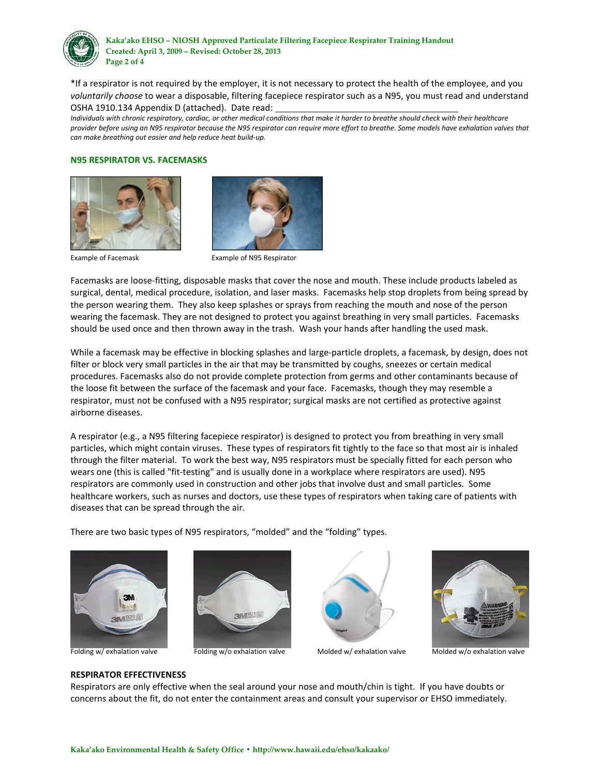

\*If a respirator is not required by the employer, it is not necessary to protect the health of the employee, and you *voluntarily choose* to wear a disposable, filtering facepiece respirator such as a N95, you must read and understand OSHA 1910.134 Appendix D (attached). Date read:

*Individuals with chronic respiratory, cardiac, or other medical conditions that make it harder to breathe should check with their healthcare provider before using an N95 respirator because the N95 respirator can require more effort to breathe. Some models have exhalation valves that can make breathing out easier and help reduce heat build-up.*

#### **N95 RESPIRATOR VS. FACEMASKS**





Example of Facemask Example of N95 Respirator

Facemasks are loose-fitting, disposable masks that cover the nose and mouth. These include products labeled as surgical, dental, medical procedure, isolation, and laser masks. Facemasks help stop droplets from being spread by the person wearing them. They also keep splashes or sprays from reaching the mouth and nose of the person wearing the facemask. They are not designed to protect you against breathing in very small particles. Facemasks should be used once and then thrown away in the trash. Wash your hands after handling the used mask.

While a facemask may be effective in blocking splashes and large-particle droplets, a facemask, by design, does not filter or block very small particles in the air that may be transmitted by coughs, sneezes or certain medical procedures. Facemasks also do not provide complete protection from germs and other contaminants because of the loose fit between the surface of the facemask and your face. Facemasks, though they may resemble a respirator, must not be confused with a N95 respirator; surgical masks are not certified as protective against airborne diseases.

A respirator (e.g., a N95 filtering facepiece respirator) is designed to protect you from breathing in very small particles, which might contain viruses. These types of respirators fit tightly to the face so that most air is inhaled through the filter material. To work the best way, N95 respirators must be specially fitted for each person who wears one (this is called "fit-testing" and is usually done in a workplace where respirators are used). N95 respirators are commonly used in construction and other jobs that involve dust and small particles. Some healthcare workers, such as nurses and doctors, use these types of respirators when taking care of patients with diseases that can be spread through the air.

There are two basic types of N95 respirators, "molded" and the "folding" types.









Folding w/ exhalation valve Folding w/o exhalation valve Molded w/ exhalation valve Molded w/o exhalation valve

## **RESPIRATOR EFFECTIVENESS**

Respirators are only effective when the seal around your nose and mouth/chin is tight. If you have doubts or concerns about the fit, do not enter the containment areas and consult your supervisor or EHSO immediately.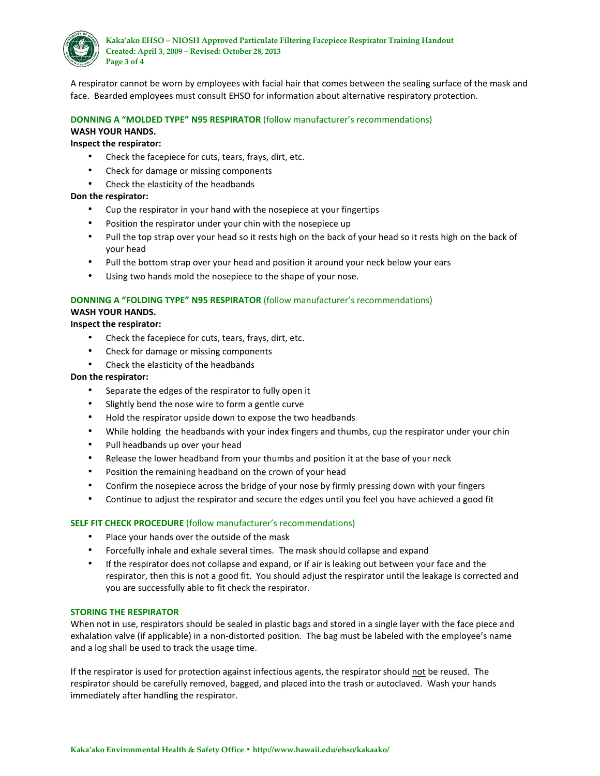

A respirator cannot be worn by employees with facial hair that comes between the sealing surface of the mask and face. Bearded employees must consult EHSO for information about alternative respiratory protection.

# **DONNING A "MOLDED TYPE" N95 RESPIRATOR** (follow manufacturer's recommendations) **WASH YOUR HANDS.**

## **Inspect the respirator:**

- Check the facepiece for cuts, tears, frays, dirt, etc.
- Check for damage or missing components
- Check the elasticity of the headbands

### **Don the respirator:**

- Cup the respirator in your hand with the nosepiece at your fingertips
- Position the respirator under your chin with the nosepiece up
- Pull the top strap over your head so it rests high on the back of your head so it rests high on the back of your head
- Pull the bottom strap over your head and position it around your neck below your ears
- Using two hands mold the nosepiece to the shape of your nose.

## **DONNING A "FOLDING TYPE" N95 RESPIRATOR** (follow manufacturer's recommendations) **WASH YOUR HANDS.**

**Inspect the respirator:**

- Check the facepiece for cuts, tears, frays, dirt, etc.
- Check for damage or missing components
- Check the elasticity of the headbands

### **Don the respirator:**

- Separate the edges of the respirator to fully open it
- Slightly bend the nose wire to form a gentle curve
- Hold the respirator upside down to expose the two headbands
- While holding the headbands with your index fingers and thumbs, cup the respirator under your chin
- Pull headbands up over your head
- Release the lower headband from your thumbs and position it at the base of your neck
- Position the remaining headband on the crown of your head
- Confirm the nosepiece across the bridge of your nose by firmly pressing down with your fingers
- Continue to adjust the respirator and secure the edges until you feel you have achieved a good fit

### **SELF FIT CHECK PROCEDURE** (follow manufacturer's recommendations)

- Place your hands over the outside of the mask
- Forcefully inhale and exhale several times. The mask should collapse and expand
- If the respirator does not collapse and expand, or if air is leaking out between your face and the respirator, then this is not a good fit. You should adjust the respirator until the leakage is corrected and you are successfully able to fit check the respirator.

### **STORING THE RESPIRATOR**

When not in use, respirators should be sealed in plastic bags and stored in a single layer with the face piece and exhalation valve (if applicable) in a non-distorted position. The bag must be labeled with the employee's name and a log shall be used to track the usage time.

If the respirator is used for protection against infectious agents, the respirator should not be reused. The respirator should be carefully removed, bagged, and placed into the trash or autoclaved. Wash your hands immediately after handling the respirator.